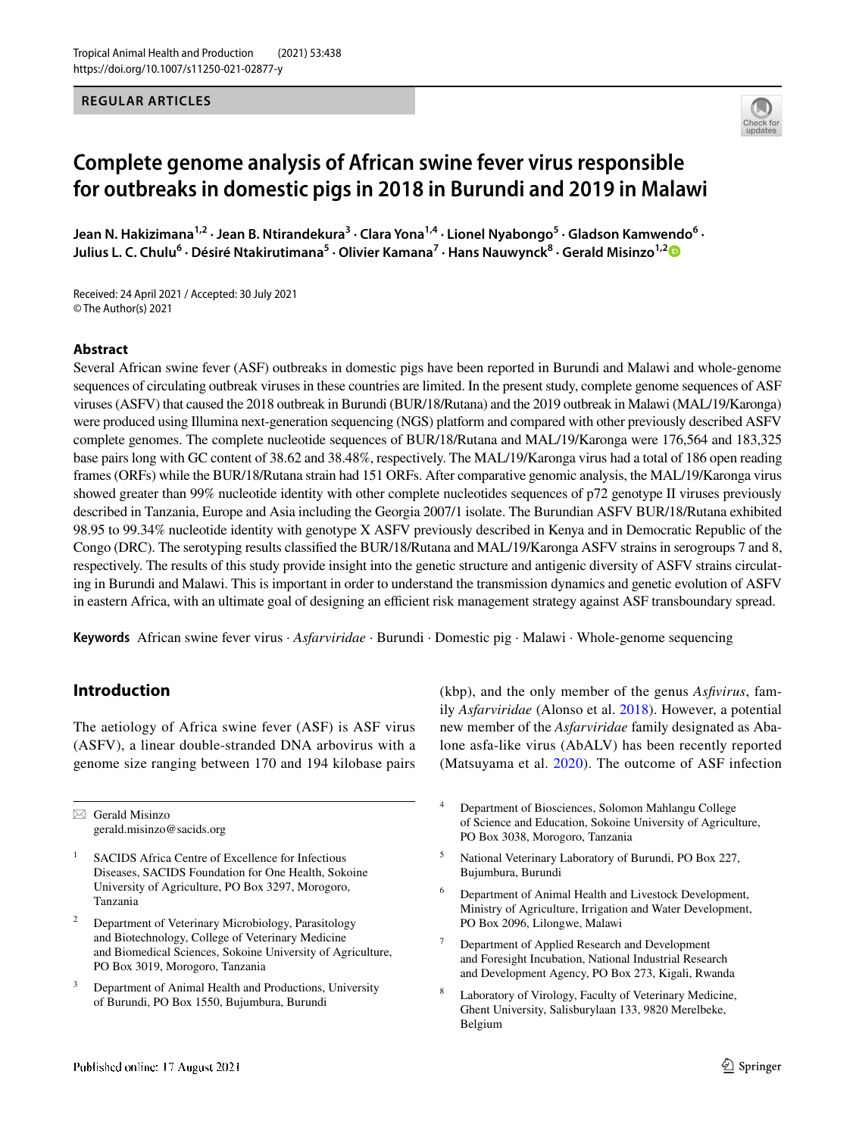## **REGULAR ARTICLES**



# **Complete genome analysis of African swine fever virus responsible for outbreaks in domestic pigs in 2018 in Burundi and 2019 in Malawi**

Jean N. Hakizimana<sup>1,2</sup> · Jean B. Ntirandekura<sup>3</sup> · Clara Yona<sup>1,4</sup> · Lionel Nyabongo<sup>5</sup> · Gladson Kamwendo<sup>6</sup> · **Julius L. C. Chulu6 · Désiré Ntakirutimana5 · Olivier Kamana7 · Hans Nauwynck8 · Gerald Misinzo1,[2](http://orcid.org/0000-0003-1827-6403)**

Received: 24 April 2021 / Accepted: 30 July 2021 © The Author(s) 2021

## **Abstract**

Several African swine fever (ASF) outbreaks in domestic pigs have been reported in Burundi and Malawi and whole-genome sequences of circulating outbreak viruses in these countries are limited. In the present study, complete genome sequences of ASF viruses (ASFV) that caused the 2018 outbreak in Burundi (BUR/18/Rutana) and the 2019 outbreak in Malawi (MAL/19/Karonga) were produced using Illumina next-generation sequencing (NGS) platform and compared with other previously described ASFV complete genomes. The complete nucleotide sequences of BUR/18/Rutana and MAL/19/Karonga were 176,564 and 183,325 base pairs long with GC content of 38.62 and 38.48%, respectively. The MAL/19/Karonga virus had a total of 186 open reading frames (ORFs) while the BUR/18/Rutana strain had 151 ORFs. After comparative genomic analysis, the MAL/19/Karonga virus showed greater than 99% nucleotide identity with other complete nucleotides sequences of p72 genotype II viruses previously described in Tanzania, Europe and Asia including the Georgia 2007/1 isolate. The Burundian ASFV BUR/18/Rutana exhibited 98.95 to 99.34% nucleotide identity with genotype X ASFV previously described in Kenya and in Democratic Republic of the Congo (DRC). The serotyping results classifed the BUR/18/Rutana and MAL/19/Karonga ASFV strains in serogroups 7 and 8, respectively. The results of this study provide insight into the genetic structure and antigenic diversity of ASFV strains circulating in Burundi and Malawi. This is important in order to understand the transmission dynamics and genetic evolution of ASFV in eastern Africa, with an ultimate goal of designing an efficient risk management strategy against ASF transboundary spread.

**Keywords** African swine fever virus · *Asfarviridae* · Burundi · Domestic pig · Malawi · Whole-genome sequencing

# **Introduction**

The aetiology of Africa swine fever (ASF) is ASF virus (ASFV), a linear double-stranded DNA arbovirus with a genome size ranging between 170 and 194 kilobase pairs

 $\boxtimes$  Gerald Misinzo gerald.misinzo@sacids.org

- <sup>1</sup> SACIDS Africa Centre of Excellence for Infectious Diseases, SACIDS Foundation for One Health, Sokoine University of Agriculture, PO Box 3297, Morogoro, Tanzania
- <sup>2</sup> Department of Veterinary Microbiology, Parasitology and Biotechnology, College of Veterinary Medicine and Biomedical Sciences, Sokoine University of Agriculture, PO Box 3019, Morogoro, Tanzania
- Department of Animal Health and Productions, University of Burundi, PO Box 1550, Bujumbura, Burundi

(kbp), and the only member of the genus *Asfvirus*, family *Asfarviridae* (Alonso et al. [2018\)](#page-7-0). However, a potential new member of the *Asfarviridae* family designated as Abalone asfa-like virus (AbALV) has been recently reported (Matsuyama et al. [2020\)](#page-8-0). The outcome of ASF infection

- <sup>4</sup> Department of Biosciences, Solomon Mahlangu College of Science and Education, Sokoine University of Agriculture, PO Box 3038, Morogoro, Tanzania
- <sup>5</sup> National Veterinary Laboratory of Burundi, PO Box 227, Bujumbura, Burundi
- Department of Animal Health and Livestock Development, Ministry of Agriculture, Irrigation and Water Development, PO Box 2096, Lilongwe, Malawi
- <sup>7</sup> Department of Applied Research and Development and Foresight Incubation, National Industrial Research and Development Agency, PO Box 273, Kigali, Rwanda
- Laboratory of Virology, Faculty of Veterinary Medicine, Ghent University, Salisburylaan 133, 9820 Merelbeke, Belgium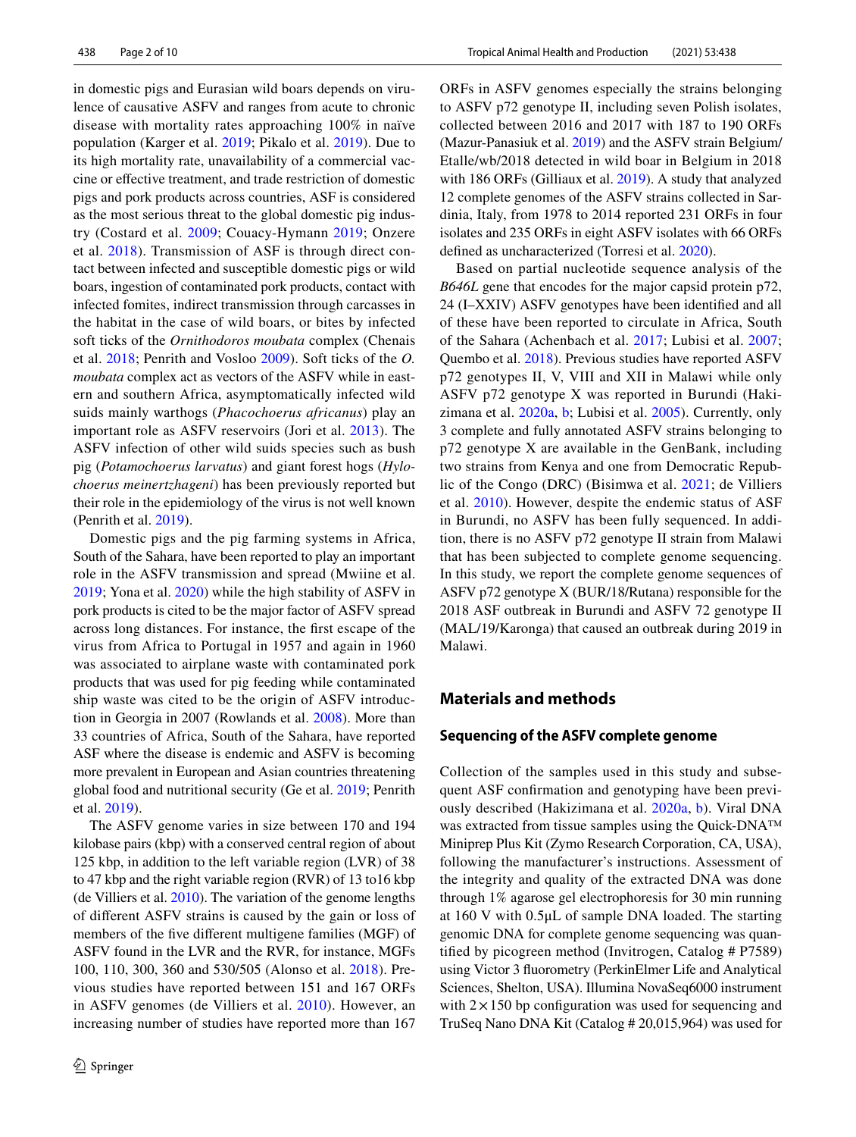in domestic pigs and Eurasian wild boars depends on virulence of causative ASFV and ranges from acute to chronic disease with mortality rates approaching 100% in naïve population (Karger et al. [2019;](#page-8-1) Pikalo et al. [2019\)](#page-9-0). Due to its high mortality rate, unavailability of a commercial vaccine or efective treatment, and trade restriction of domestic pigs and pork products across countries, ASF is considered as the most serious threat to the global domestic pig industry (Costard et al. [2009](#page-7-1); Couacy-Hymann [2019;](#page-7-2) Onzere et al. [2018\)](#page-8-2). Transmission of ASF is through direct contact between infected and susceptible domestic pigs or wild boars, ingestion of contaminated pork products, contact with infected fomites, indirect transmission through carcasses in the habitat in the case of wild boars, or bites by infected soft ticks of the *Ornithodoros moubata* complex (Chenais et al. [2018](#page-7-3); Penrith and Vosloo [2009\)](#page-9-1). Soft ticks of the *O. moubata* complex act as vectors of the ASFV while in eastern and southern Africa, asymptomatically infected wild suids mainly warthogs (*Phacochoerus africanus*) play an important role as ASFV reservoirs (Jori et al. [2013](#page-8-3)). The ASFV infection of other wild suids species such as bush pig (*Potamochoerus larvatus*) and giant forest hogs (*Hylochoerus meinertzhageni*) has been previously reported but their role in the epidemiology of the virus is not well known (Penrith et al. [2019](#page-9-2)).

Domestic pigs and the pig farming systems in Africa, South of the Sahara, have been reported to play an important role in the ASFV transmission and spread (Mwiine et al. [2019](#page-8-4); Yona et al. [2020\)](#page-9-3) while the high stability of ASFV in pork products is cited to be the major factor of ASFV spread across long distances. For instance, the frst escape of the virus from Africa to Portugal in 1957 and again in 1960 was associated to airplane waste with contaminated pork products that was used for pig feeding while contaminated ship waste was cited to be the origin of ASFV introduction in Georgia in 2007 (Rowlands et al. [2008](#page-9-4)). More than 33 countries of Africa, South of the Sahara, have reported ASF where the disease is endemic and ASFV is becoming more prevalent in European and Asian countries threatening global food and nutritional security (Ge et al. [2019;](#page-7-4) Penrith et al. [2019](#page-9-2)).

The ASFV genome varies in size between 170 and 194 kilobase pairs (kbp) with a conserved central region of about 125 kbp, in addition to the left variable region (LVR) of 38 to 47 kbp and the right variable region (RVR) of 13 to16 kbp (de Villiers et al. [2010\)](#page-7-5). The variation of the genome lengths of diferent ASFV strains is caused by the gain or loss of members of the fve diferent multigene families (MGF) of ASFV found in the LVR and the RVR, for instance, MGFs 100, 110, 300, 360 and 530/505 (Alonso et al. [2018](#page-7-0)). Previous studies have reported between 151 and 167 ORFs in ASFV genomes (de Villiers et al. [2010](#page-7-5)). However, an increasing number of studies have reported more than 167 ORFs in ASFV genomes especially the strains belonging to ASFV p72 genotype II, including seven Polish isolates, collected between 2016 and 2017 with 187 to 190 ORFs (Mazur-Panasiuk et al. [2019](#page-8-5)) and the ASFV strain Belgium/ Etalle/wb/2018 detected in wild boar in Belgium in 2018 with 186 ORFs (Gilliaux et al. [2019\)](#page-8-6). A study that analyzed 12 complete genomes of the ASFV strains collected in Sardinia, Italy, from 1978 to 2014 reported 231 ORFs in four isolates and 235 ORFs in eight ASFV isolates with 66 ORFs defned as uncharacterized (Torresi et al. [2020\)](#page-9-5).

Based on partial nucleotide sequence analysis of the *B646L* gene that encodes for the major capsid protein p72, 24 (I–XXIV) ASFV genotypes have been identifed and all of these have been reported to circulate in Africa, South of the Sahara (Achenbach et al. [2017;](#page-7-6) Lubisi et al. [2007](#page-8-7); Quembo et al. [2018](#page-9-6)). Previous studies have reported ASFV p72 genotypes II, V, VIII and XII in Malawi while only ASFV p72 genotype X was reported in Burundi (Hakizimana et al. [2020a,](#page-8-8) [b](#page-8-9); Lubisi et al. [2005\)](#page-8-10). Currently, only 3 complete and fully annotated ASFV strains belonging to p72 genotype X are available in the GenBank, including two strains from Kenya and one from Democratic Republic of the Congo (DRC) (Bisimwa et al. [2021;](#page-7-7) de Villiers et al. [2010](#page-7-5)). However, despite the endemic status of ASF in Burundi, no ASFV has been fully sequenced. In addition, there is no ASFV p72 genotype II strain from Malawi that has been subjected to complete genome sequencing. In this study, we report the complete genome sequences of ASFV p72 genotype X (BUR/18/Rutana) responsible for the 2018 ASF outbreak in Burundi and ASFV 72 genotype II (MAL/19/Karonga) that caused an outbreak during 2019 in Malawi.

# **Materials and methods**

## **Sequencing of the ASFV complete genome**

Collection of the samples used in this study and subsequent ASF confrmation and genotyping have been previously described (Hakizimana et al. [2020a,](#page-8-8) [b](#page-8-9)). Viral DNA was extracted from tissue samples using the Quick-DNA™ Miniprep Plus Kit (Zymo Research Corporation, CA, USA), following the manufacturer's instructions. Assessment of the integrity and quality of the extracted DNA was done through 1% agarose gel electrophoresis for 30 min running at 160 V with 0.5μL of sample DNA loaded. The starting genomic DNA for complete genome sequencing was quantifed by picogreen method (Invitrogen, Catalog # P7589) using Victor 3 fuorometry (PerkinElmer Life and Analytical Sciences, Shelton, USA). Illumina NovaSeq6000 instrument with  $2 \times 150$  bp configuration was used for sequencing and TruSeq Nano DNA Kit (Catalog # 20,015,964) was used for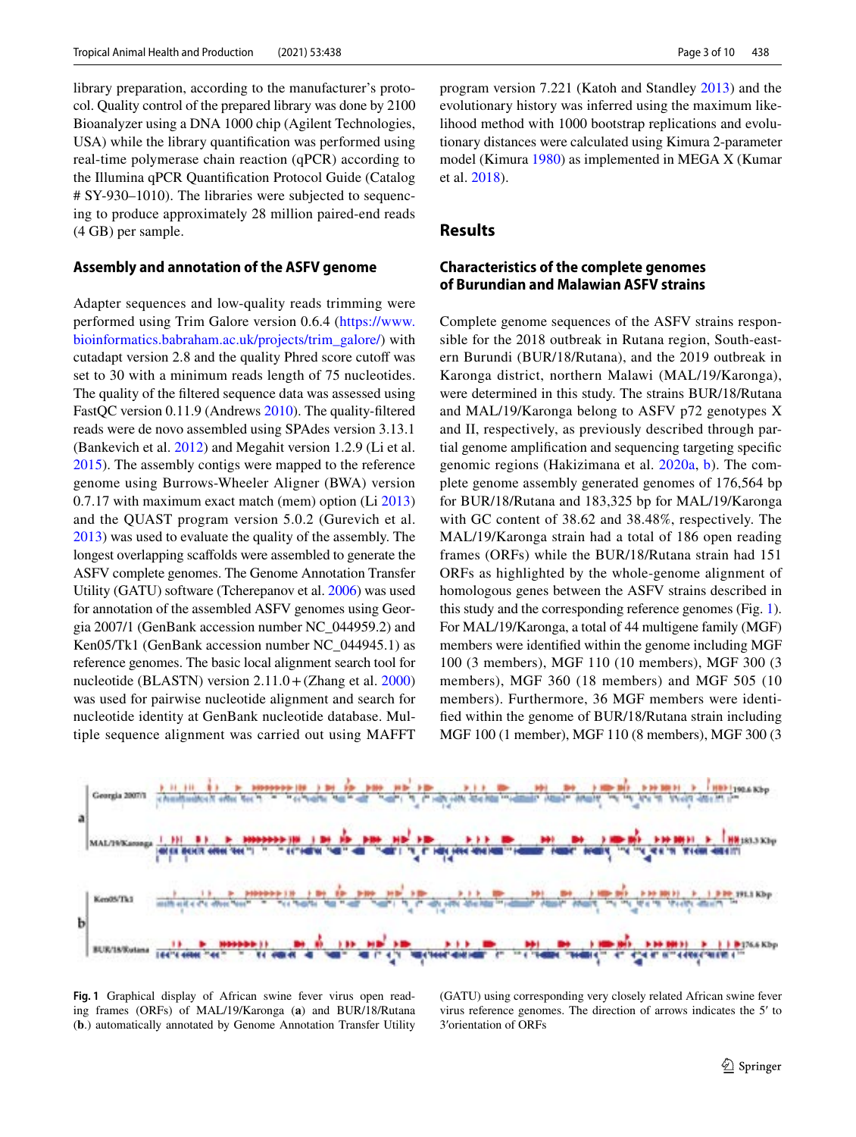library preparation, according to the manufacturer's protocol. Quality control of the prepared library was done by 2100 Bioanalyzer using a DNA 1000 chip (Agilent Technologies, USA) while the library quantifcation was performed using real-time polymerase chain reaction (qPCR) according to the Illumina qPCR Quantifcation Protocol Guide (Catalog # SY-930–1010). The libraries were subjected to sequencing to produce approximately 28 million paired-end reads (4 GB) per sample.

#### **Assembly and annotation of the ASFV genome**

Adapter sequences and low-quality reads trimming were performed using Trim Galore version 0.6.4 [\(https://www.](https://www.bioinformatics.babraham.ac.uk/projects/trim_galore/) [bioinformatics.babraham.ac.uk/projects/trim\\_galore/\)](https://www.bioinformatics.babraham.ac.uk/projects/trim_galore/) with cutadapt version 2.8 and the quality Phred score cutoff was set to 30 with a minimum reads length of 75 nucleotides. The quality of the fltered sequence data was assessed using FastQC version 0.11.9 (Andrews [2010\)](#page-7-8). The quality-fltered reads were de novo assembled using SPAdes version 3.13.1 (Bankevich et al. [2012\)](#page-7-9) and Megahit version 1.2.9 (Li et al. [2015](#page-8-11)). The assembly contigs were mapped to the reference genome using Burrows-Wheeler Aligner (BWA) version 0.7.17 with maximum exact match (mem) option (Li [2013\)](#page-8-12) and the QUAST program version 5.0.2 (Gurevich et al. [2013](#page-8-13)) was used to evaluate the quality of the assembly. The longest overlapping scaffolds were assembled to generate the ASFV complete genomes. The Genome Annotation Transfer Utility (GATU) software (Tcherepanov et al. [2006](#page-9-7)) was used for annotation of the assembled ASFV genomes using Georgia 2007/1 (GenBank accession number NC\_044959.2) and Ken05/Tk1 (GenBank accession number NC\_044945.1) as reference genomes. The basic local alignment search tool for nucleotide (BLASTN) version  $2.11.0 + (Zhang et al. 2000)$  $2.11.0 + (Zhang et al. 2000)$ was used for pairwise nucleotide alignment and search for nucleotide identity at GenBank nucleotide database. Multiple sequence alignment was carried out using MAFFT program version 7.221 (Katoh and Standley [2013](#page-8-14)) and the evolutionary history was inferred using the maximum likelihood method with 1000 bootstrap replications and evolutionary distances were calculated using Kimura 2-parameter model (Kimura [1980](#page-8-15)) as implemented in MEGA X (Kumar et al. [2018](#page-8-16)).

## **Results**

# **Characteristics of the complete genomes of Burundian and Malawian ASFV strains**

Complete genome sequences of the ASFV strains responsible for the 2018 outbreak in Rutana region, South-eastern Burundi (BUR/18/Rutana), and the 2019 outbreak in Karonga district, northern Malawi (MAL/19/Karonga), were determined in this study. The strains BUR/18/Rutana and MAL/19/Karonga belong to ASFV p72 genotypes X and II, respectively, as previously described through partial genome amplifcation and sequencing targeting specifc genomic regions (Hakizimana et al. [2020a,](#page-8-8) [b\)](#page-8-9). The complete genome assembly generated genomes of 176,564 bp for BUR/18/Rutana and 183,325 bp for MAL/19/Karonga with GC content of 38.62 and 38.48%, respectively. The MAL/19/Karonga strain had a total of 186 open reading frames (ORFs) while the BUR/18/Rutana strain had 151 ORFs as highlighted by the whole-genome alignment of homologous genes between the ASFV strains described in this study and the corresponding reference genomes (Fig. [1](#page-2-0)). For MAL/19/Karonga, a total of 44 multigene family (MGF) members were identifed within the genome including MGF 100 (3 members), MGF 110 (10 members), MGF 300 (3 members), MGF 360 (18 members) and MGF 505 (10 members). Furthermore, 36 MGF members were identifed within the genome of BUR/18/Rutana strain including MGF 100 (1 member), MGF 110 (8 members), MGF 300 (3



<span id="page-2-0"></span>**Fig. 1** Graphical display of African swine fever virus open reading frames (ORFs) of MAL/19/Karonga (**a**) and BUR/18/Rutana (**b**.) automatically annotated by Genome Annotation Transfer Utility

(GATU) using corresponding very closely related African swine fever virus reference genomes. The direction of arrows indicates the 5′ to 3′orientation of ORFs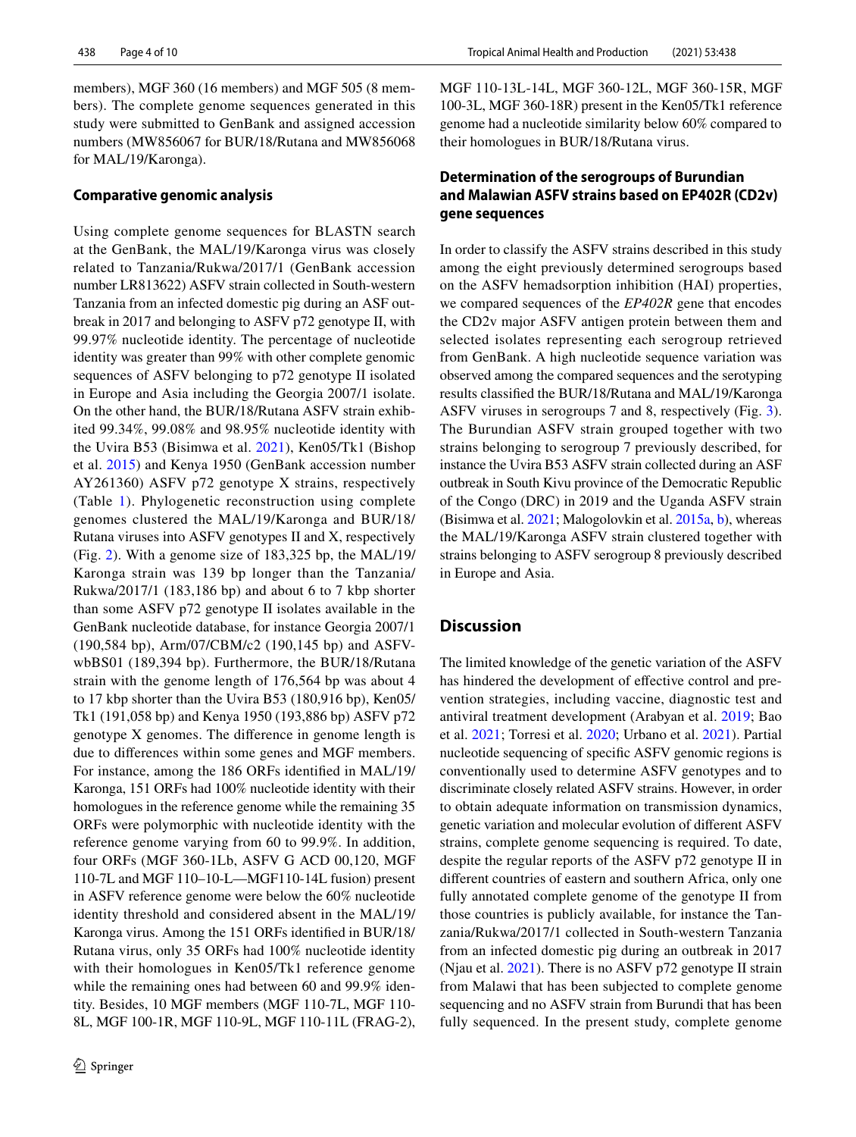members), MGF 360 (16 members) and MGF 505 (8 members). The complete genome sequences generated in this study were submitted to GenBank and assigned accession numbers (MW856067 for BUR/18/Rutana and MW856068 for MAL/19/Karonga).

## **Comparative genomic analysis**

Using complete genome sequences for BLASTN search at the GenBank, the MAL/19/Karonga virus was closely related to Tanzania/Rukwa/2017/1 (GenBank accession number LR813622) ASFV strain collected in South-western Tanzania from an infected domestic pig during an ASF outbreak in 2017 and belonging to ASFV p72 genotype II, with 99.97% nucleotide identity. The percentage of nucleotide identity was greater than 99% with other complete genomic sequences of ASFV belonging to p72 genotype II isolated in Europe and Asia including the Georgia 2007/1 isolate. On the other hand, the BUR/18/Rutana ASFV strain exhibited 99.34%, 99.08% and 98.95% nucleotide identity with the Uvira B53 (Bisimwa et al. [2021](#page-7-7)), Ken05/Tk1 (Bishop et al. [2015\)](#page-7-10) and Kenya 1950 (GenBank accession number AY261360) ASFV p72 genotype X strains, respectively (Table [1\)](#page-4-0). Phylogenetic reconstruction using complete genomes clustered the MAL/19/Karonga and BUR/18/ Rutana viruses into ASFV genotypes II and X, respectively (Fig. [2\)](#page-5-0). With a genome size of 183,325 bp, the MAL/19/ Karonga strain was 139 bp longer than the Tanzania/ Rukwa/2017/1 (183,186 bp) and about 6 to 7 kbp shorter than some ASFV p72 genotype II isolates available in the GenBank nucleotide database, for instance Georgia 2007/1 (190,584 bp), Arm/07/CBM/c2 (190,145 bp) and ASFVwbBS01 (189,394 bp). Furthermore, the BUR/18/Rutana strain with the genome length of 176,564 bp was about 4 to 17 kbp shorter than the Uvira B53 (180,916 bp), Ken05/ Tk1 (191,058 bp) and Kenya 1950 (193,886 bp) ASFV p72 genotype X genomes. The diference in genome length is due to diferences within some genes and MGF members. For instance, among the 186 ORFs identifed in MAL/19/ Karonga, 151 ORFs had 100% nucleotide identity with their homologues in the reference genome while the remaining 35 ORFs were polymorphic with nucleotide identity with the reference genome varying from 60 to 99.9%. In addition, four ORFs (MGF 360-1Lb, ASFV G ACD 00,120, MGF 110-7L and MGF 110–10-L—MGF110-14L fusion) present in ASFV reference genome were below the 60% nucleotide identity threshold and considered absent in the MAL/19/ Karonga virus. Among the 151 ORFs identifed in BUR/18/ Rutana virus, only 35 ORFs had 100% nucleotide identity with their homologues in Ken05/Tk1 reference genome while the remaining ones had between 60 and 99.9% identity. Besides, 10 MGF members (MGF 110-7L, MGF 110- 8L, MGF 100-1R, MGF 110-9L, MGF 110-11L (FRAG-2), MGF 110-13L-14L, MGF 360-12L, MGF 360-15R, MGF 100-3L, MGF 360-18R) present in the Ken05/Tk1 reference genome had a nucleotide similarity below 60% compared to their homologues in BUR/18/Rutana virus.

# **Determination of the serogroups of Burundian and Malawian ASFV strains based on EP402R (CD2v) gene sequences**

In order to classify the ASFV strains described in this study among the eight previously determined serogroups based on the ASFV hemadsorption inhibition (HAI) properties, we compared sequences of the *EP402R* gene that encodes the CD2v major ASFV antigen protein between them and selected isolates representing each serogroup retrieved from GenBank. A high nucleotide sequence variation was observed among the compared sequences and the serotyping results classifed the BUR/18/Rutana and MAL/19/Karonga ASFV viruses in serogroups 7 and 8, respectively (Fig. [3](#page-5-1)). The Burundian ASFV strain grouped together with two strains belonging to serogroup 7 previously described, for instance the Uvira B53 ASFV strain collected during an ASF outbreak in South Kivu province of the Democratic Republic of the Congo (DRC) in 2019 and the Uganda ASFV strain (Bisimwa et al. [2021;](#page-7-7) Malogolovkin et al. [2015a](#page-8-17), [b](#page-8-18)), whereas the MAL/19/Karonga ASFV strain clustered together with strains belonging to ASFV serogroup 8 previously described in Europe and Asia.

# **Discussion**

The limited knowledge of the genetic variation of the ASFV has hindered the development of effective control and prevention strategies, including vaccine, diagnostic test and antiviral treatment development (Arabyan et al. [2019](#page-7-11); Bao et al. [2021;](#page-7-12) Torresi et al. [2020](#page-9-5); Urbano et al. [2021](#page-9-9)). Partial nucleotide sequencing of specifc ASFV genomic regions is conventionally used to determine ASFV genotypes and to discriminate closely related ASFV strains. However, in order to obtain adequate information on transmission dynamics, genetic variation and molecular evolution of diferent ASFV strains, complete genome sequencing is required. To date, despite the regular reports of the ASFV p72 genotype II in diferent countries of eastern and southern Africa, only one fully annotated complete genome of the genotype II from those countries is publicly available, for instance the Tanzania/Rukwa/2017/1 collected in South-western Tanzania from an infected domestic pig during an outbreak in 2017 (Njau et al. [2021](#page-8-19)). There is no ASFV p72 genotype II strain from Malawi that has been subjected to complete genome sequencing and no ASFV strain from Burundi that has been fully sequenced. In the present study, complete genome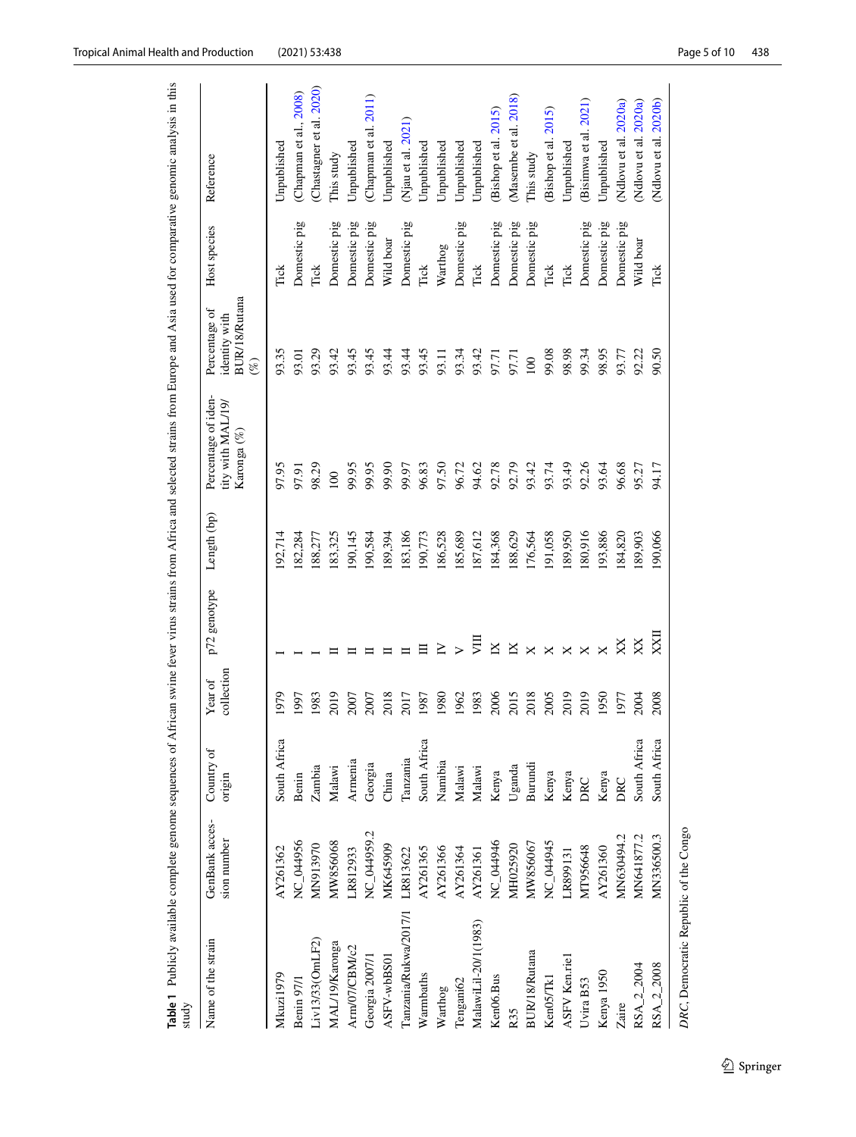| study                 |                               |                      |                       |                          |             |                                                        |                                                                  |              |                          |
|-----------------------|-------------------------------|----------------------|-----------------------|--------------------------|-------------|--------------------------------------------------------|------------------------------------------------------------------|--------------|--------------------------|
| Name of the strain    | GenBank acces-<br>sion number | Country of<br>origin | collection<br>Year of | p72 genotype             | Length (bp) | Percentage of iden-<br>tity with MAL/19<br>Karonga (%) | <b>BUR/18/Rutana</b><br>Percentage of<br>identity with<br>$(\%)$ | Host species | Reference                |
| Mkuzi1979             | AY261362                      | South Africa         | 1979                  |                          | 192,714     | 97.95                                                  | 93.35                                                            | Τiαk         | Unpublished              |
| Benin 97/1            | NC_044956                     | Benin                | 1997                  |                          | 182,284     | 97.91                                                  | 93.01                                                            | Domestic pig | (Chapman et al., 2008)   |
| iv13/33(OmLF2)        | MN913970                      | Zambia               | 1983                  |                          | 188,277     | 98.29                                                  | 93.29                                                            | Tick         | (Chastagner et al. 2020) |
| MAL/19/Karonga        | MW856068                      | Malawi               | 2019                  |                          | 183,325     | 100                                                    | 93.42                                                            | Domestic pig | This study               |
| Arm/07/CBM/c2         | LR812933                      | Armenia              | 2007                  |                          | 190,145     | 99.95                                                  | 93.45                                                            | Domestic pig | Unpublished              |
| Georgia 2007/1        | NC_044959.2                   | Georgia              | 2007                  |                          | 190,584     | 99.95                                                  | 93.45                                                            | Domestic pig | (Chapman et al. 2011)    |
| ASFV-wbBS01           | MK645909                      | China                | 2018                  |                          | 189,394     | 99.90                                                  | 93.44                                                            | Wild boar    | Unpublished              |
| Tanzania/Rukwa/2017/1 | LR813622                      | Tanzania             | 2017                  |                          | 183,186     | 99.97                                                  | 93.44                                                            | Domestic pig | (Njau et al. 2021)       |
| Warmbaths             | AY261365                      | South Africa         | 1987                  | 目                        | 190,773     | 96.83                                                  | 93.45                                                            | Tick         | Unpublished              |
| Warthog               | AY261366                      | Namibia              | 1980                  | Σ                        | 186,528     | 97.50                                                  | 93.11                                                            | Warthog      | Unpublished              |
| Tengani62             | AY261364                      | Malawi               | 1962                  | $\overline{\phantom{0}}$ | 185,689     | 96.72                                                  | 93.34                                                            | Domestic pig | Unpublished              |
| MalawiLil-20/1(1983)  | AY261361                      | Malawi               | 1983                  | 貝                        | 187,612     | 94.62                                                  | 93.42                                                            | Tick         | Unpublished              |
| Ken06.Bus             | NC_044946                     | Kenya                | 2006                  | $\overline{X}$           | 184,368     | 92.78                                                  | 97.71                                                            | Domestic pig | (Bishop et al. 2015)     |
| R <sub>35</sub>       | MH025920                      | Uganda               | 2015                  | $\mathbb{K}$             | 188,629     | 92.79                                                  | 97.71                                                            | Domestic pig | (Masembe et al. 2018)    |
| BUR/18/Rutana         | MW856067                      | Burundi              | 2018                  | $\times$                 | 176,564     | 93.42                                                  | 100                                                              | Domestic pig | This study               |
| Ken05/Tk1             | NC_044945                     | Kenya                | 2005                  | ×                        | 191,058     | 93.74                                                  | 99.08                                                            | Tick         | (Bishop et al. 2015)     |
| ASFV Ken.rie1         | LR899131                      | Kenya                | 2019                  | ×                        | 189,950     | 93.49                                                  | 98.98                                                            | Tick         | Unpublished              |
| Uvira B53             | MT956648                      | DRC                  | 2019                  | ×                        | 180,916     | 92.26                                                  | 99.34                                                            | Domestic pig | (Bisimwa et al. 2021)    |
| Kenya 1950            | AY261360                      | Kenya                | 1950                  | $\mathsf{\times}$        | 193,886     | 93.64                                                  | 98.95                                                            | Domestic pig | Unpublished              |
| Zaire                 | MN630494.2                    | DRC                  | 1977                  | XX                       | 184,820     | 96.68                                                  | 93.77                                                            | Domestic pig | (Ndlovu et al. 2020a)    |
| $RSA_{2,2004}$        | MN641877.2                    | South Africa         | 2004                  | XX                       | 189,903     | 95.27                                                  | 92.22                                                            | Wild boar    | (Ndlovu et al. 2020a)    |
| RSA_2_2008            | MN336500.3                    | South Africa         | 2008                  | XXII                     | 190,066     | 94.17                                                  | 90.50                                                            | Tick         | (Ndlovu et al. 2020b)    |
|                       |                               |                      |                       |                          |             |                                                        |                                                                  |              |                          |

<span id="page-4-0"></span>DRC, Democratic Republic of the Congo *DRC*, Democratic Republic of the Congo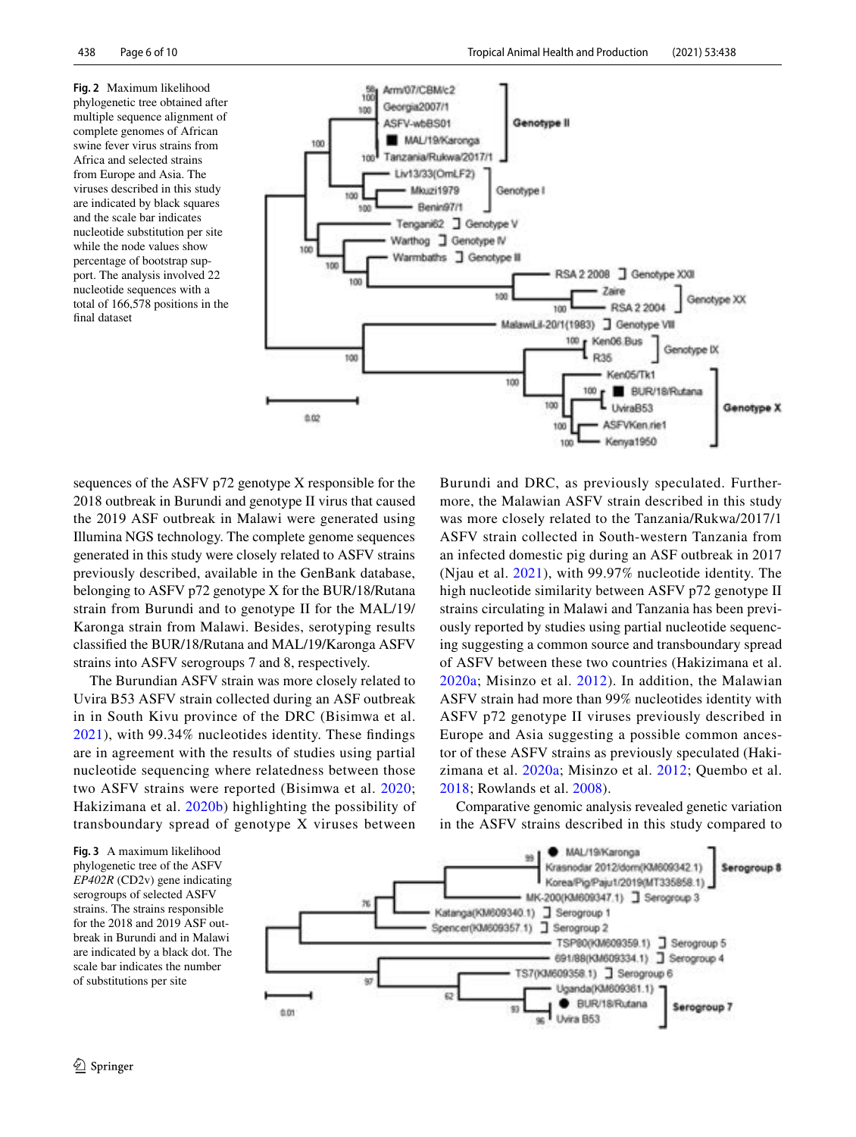<span id="page-5-0"></span>**Fig. 2** Maximum likelihood phylogenetic tree obtained after multiple sequence alignment of complete genomes of African swine fever virus strains from Africa and selected strains from Europe and Asia. The viruses described in this study are indicated by black squares and the scale bar indicates nucleotide substitution per site while the node values show percentage of bootstrap support. The analysis involved 22 nucleotide sequences with a total of 166,578 positions in the fnal dataset



sequences of the ASFV p72 genotype X responsible for the 2018 outbreak in Burundi and genotype II virus that caused the 2019 ASF outbreak in Malawi were generated using Illumina NGS technology. The complete genome sequences generated in this study were closely related to ASFV strains previously described, available in the GenBank database, belonging to ASFV p72 genotype X for the BUR/18/Rutana strain from Burundi and to genotype II for the MAL/19/ Karonga strain from Malawi. Besides, serotyping results classifed the BUR/18/Rutana and MAL/19/Karonga ASFV strains into ASFV serogroups 7 and 8, respectively.

The Burundian ASFV strain was more closely related to Uvira B53 ASFV strain collected during an ASF outbreak in in South Kivu province of the DRC (Bisimwa et al. [2021](#page-7-7)), with 99.34% nucleotides identity. These fndings are in agreement with the results of studies using partial nucleotide sequencing where relatedness between those two ASFV strains were reported (Bisimwa et al. [2020](#page-7-16); Hakizimana et al. [2020b](#page-8-9)) highlighting the possibility of transboundary spread of genotype X viruses between

Burundi and DRC, as previously speculated. Furthermore, the Malawian ASFV strain described in this study was more closely related to the Tanzania/Rukwa/2017/1 ASFV strain collected in South-western Tanzania from an infected domestic pig during an ASF outbreak in 2017 (Njau et al. [2021](#page-8-19)), with 99.97% nucleotide identity. The high nucleotide similarity between ASFV p72 genotype II strains circulating in Malawi and Tanzania has been previously reported by studies using partial nucleotide sequencing suggesting a common source and transboundary spread of ASFV between these two countries (Hakizimana et al. [2020a](#page-8-8); Misinzo et al. [2012\)](#page-8-23). In addition, the Malawian ASFV strain had more than 99% nucleotides identity with ASFV p72 genotype II viruses previously described in Europe and Asia suggesting a possible common ancestor of these ASFV strains as previously speculated (Hakizimana et al. [2020a](#page-8-8); Misinzo et al. [2012](#page-8-23); Quembo et al. [2018;](#page-9-6) Rowlands et al. [2008](#page-9-4)).

Comparative genomic analysis revealed genetic variation in the ASFV strains described in this study compared to

<span id="page-5-1"></span>**Fig. 3** A maximum likelihood phylogenetic tree of the ASFV *EP402R* (CD2v) gene indicating serogroups of selected ASFV strains. The strains responsible for the 2018 and 2019 ASF outbreak in Burundi and in Malawi are indicated by a black dot. The scale bar indicates the number of substitutions per site

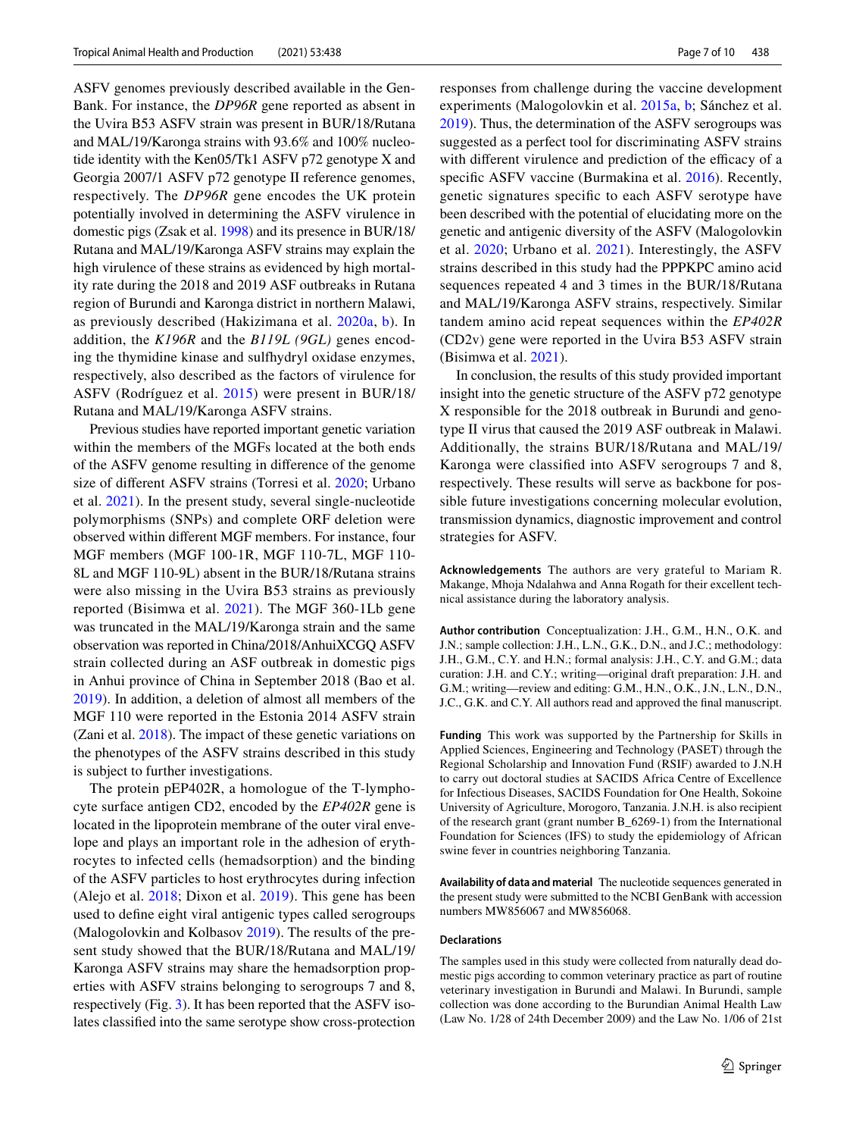ASFV genomes previously described available in the Gen-Bank. For instance, the *DP96R* gene reported as absent in the Uvira B53 ASFV strain was present in BUR/18/Rutana and MAL/19/Karonga strains with 93.6% and 100% nucleotide identity with the Ken05/Tk1 ASFV p72 genotype X and Georgia 2007/1 ASFV p72 genotype II reference genomes, respectively. The *DP96R* gene encodes the UK protein potentially involved in determining the ASFV virulence in domestic pigs (Zsak et al. [1998](#page-9-10)) and its presence in BUR/18/ Rutana and MAL/19/Karonga ASFV strains may explain the high virulence of these strains as evidenced by high mortality rate during the 2018 and 2019 ASF outbreaks in Rutana region of Burundi and Karonga district in northern Malawi, as previously described (Hakizimana et al. [2020a](#page-8-8), [b](#page-8-9)). In addition, the *K196R* and the *B119L (9GL)* genes encoding the thymidine kinase and sulfhydryl oxidase enzymes, respectively, also described as the factors of virulence for ASFV (Rodríguez et al. [2015](#page-9-11)) were present in BUR/18/ Rutana and MAL/19/Karonga ASFV strains.

Previous studies have reported important genetic variation within the members of the MGFs located at the both ends of the ASFV genome resulting in diference of the genome size of diferent ASFV strains (Torresi et al. [2020](#page-9-5); Urbano et al. [2021](#page-9-9)). In the present study, several single-nucleotide polymorphisms (SNPs) and complete ORF deletion were observed within diferent MGF members. For instance, four MGF members (MGF 100-1R, MGF 110-7L, MGF 110- 8L and MGF 110-9L) absent in the BUR/18/Rutana strains were also missing in the Uvira B53 strains as previously reported (Bisimwa et al. [2021](#page-7-7)). The MGF 360-1Lb gene was truncated in the MAL/19/Karonga strain and the same observation was reported in China/2018/AnhuiXCGQ ASFV strain collected during an ASF outbreak in domestic pigs in Anhui province of China in September 2018 (Bao et al. [2019](#page-7-17)). In addition, a deletion of almost all members of the MGF 110 were reported in the Estonia 2014 ASFV strain (Zani et al. [2018\)](#page-9-12). The impact of these genetic variations on the phenotypes of the ASFV strains described in this study is subject to further investigations.

The protein pEP402R, a homologue of the T-lymphocyte surface antigen CD2, encoded by the *EP402R* gene is located in the lipoprotein membrane of the outer viral envelope and plays an important role in the adhesion of erythrocytes to infected cells (hemadsorption) and the binding of the ASFV particles to host erythrocytes during infection (Alejo et al. [2018;](#page-7-18) Dixon et al. [2019](#page-7-19)). This gene has been used to defne eight viral antigenic types called serogroups (Malogolovkin and Kolbasov [2019\)](#page-8-24). The results of the present study showed that the BUR/18/Rutana and MAL/19/ Karonga ASFV strains may share the hemadsorption properties with ASFV strains belonging to serogroups 7 and 8, respectively (Fig. [3\)](#page-5-1). It has been reported that the ASFV isolates classifed into the same serotype show cross-protection responses from challenge during the vaccine development experiments (Malogolovkin et al. [2015a](#page-8-17), [b;](#page-8-18) Sánchez et al. [2019](#page-9-13)). Thus, the determination of the ASFV serogroups was suggested as a perfect tool for discriminating ASFV strains with different virulence and prediction of the efficacy of a specific ASFV vaccine (Burmakina et al. [2016\)](#page-7-20). Recently, genetic signatures specifc to each ASFV serotype have been described with the potential of elucidating more on the genetic and antigenic diversity of the ASFV (Malogolovkin et al. [2020;](#page-8-25) Urbano et al. [2021](#page-9-9)). Interestingly, the ASFV strains described in this study had the PPPKPC amino acid sequences repeated 4 and 3 times in the BUR/18/Rutana and MAL/19/Karonga ASFV strains, respectively. Similar tandem amino acid repeat sequences within the *EP402R* (CD2v) gene were reported in the Uvira B53 ASFV strain (Bisimwa et al. [2021\)](#page-7-7).

In conclusion, the results of this study provided important insight into the genetic structure of the ASFV p72 genotype X responsible for the 2018 outbreak in Burundi and genotype II virus that caused the 2019 ASF outbreak in Malawi. Additionally, the strains BUR/18/Rutana and MAL/19/ Karonga were classifed into ASFV serogroups 7 and 8, respectively. These results will serve as backbone for possible future investigations concerning molecular evolution, transmission dynamics, diagnostic improvement and control strategies for ASFV.

**Acknowledgements** The authors are very grateful to Mariam R. Makange, Mhoja Ndalahwa and Anna Rogath for their excellent technical assistance during the laboratory analysis.

**Author contribution** Conceptualization: J.H., G.M., H.N., O.K. and J.N.; sample collection: J.H., L.N., G.K., D.N., and J.C.; methodology: J.H., G.M., C.Y. and H.N.; formal analysis: J.H., C.Y. and G.M.; data curation: J.H. and C.Y.; writing—original draft preparation: J.H. and G.M.; writing—review and editing: G.M., H.N., O.K., J.N., L.N., D.N., J.C., G.K. and C.Y. All authors read and approved the fnal manuscript.

**Funding** This work was supported by the Partnership for Skills in Applied Sciences, Engineering and Technology (PASET) through the Regional Scholarship and Innovation Fund (RSIF) awarded to J.N.H to carry out doctoral studies at SACIDS Africa Centre of Excellence for Infectious Diseases, SACIDS Foundation for One Health, Sokoine University of Agriculture, Morogoro, Tanzania. J.N.H. is also recipient of the research grant (grant number B\_6269-1) from the International Foundation for Sciences (IFS) to study the epidemiology of African swine fever in countries neighboring Tanzania.

**Availability of data and material** The nucleotide sequences generated in the present study were submitted to the NCBI GenBank with accession numbers MW856067 and MW856068.

#### **Declarations**

The samples used in this study were collected from naturally dead domestic pigs according to common veterinary practice as part of routine veterinary investigation in Burundi and Malawi. In Burundi, sample collection was done according to the Burundian Animal Health Law (Law No. 1/28 of 24th December 2009) and the Law No. 1/06 of 21st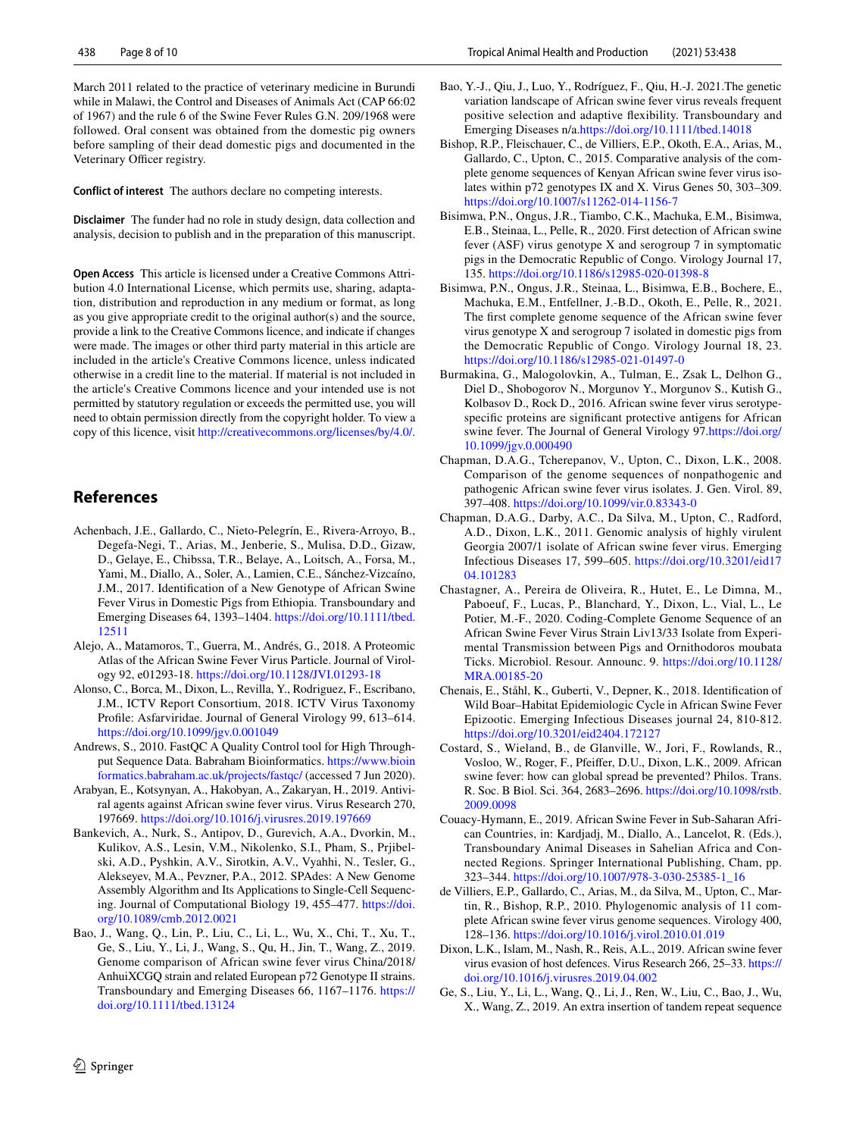March 2011 related to the practice of veterinary medicine in Burundi while in Malawi, the Control and Diseases of Animals Act (CAP 66:02 of 1967) and the rule 6 of the Swine Fever Rules G.N. 209/1968 were followed. Oral consent was obtained from the domestic pig owners before sampling of their dead domestic pigs and documented in the Veterinary Officer registry.

**Conflict of interest** The authors declare no competing interests.

**Disclaimer** The funder had no role in study design, data collection and analysis, decision to publish and in the preparation of this manuscript.

**Open Access** This article is licensed under a Creative Commons Attribution 4.0 International License, which permits use, sharing, adaptation, distribution and reproduction in any medium or format, as long as you give appropriate credit to the original author(s) and the source, provide a link to the Creative Commons licence, and indicate if changes were made. The images or other third party material in this article are included in the article's Creative Commons licence, unless indicated otherwise in a credit line to the material. If material is not included in the article's Creative Commons licence and your intended use is not permitted by statutory regulation or exceeds the permitted use, you will need to obtain permission directly from the copyright holder. To view a copy of this licence, visit <http://creativecommons.org/licenses/by/4.0/>.

# **References**

- <span id="page-7-6"></span>Achenbach, J.E., Gallardo, C., Nieto-Pelegrín, E., Rivera-Arroyo, B., Degefa-Negi, T., Arias, M., Jenberie, S., Mulisa, D.D., Gizaw, D., Gelaye, E., Chibssa, T.R., Belaye, A., Loitsch, A., Forsa, M., Yami, M., Diallo, A., Soler, A., Lamien, C.E., Sánchez-Vizcaíno, J.M., 2017. Identifcation of a New Genotype of African Swine Fever Virus in Domestic Pigs from Ethiopia. Transboundary and Emerging Diseases 64, 1393–1404. [https://doi.org/10.1111/tbed.](https://doi.org/10.1111/tbed.12511) [12511](https://doi.org/10.1111/tbed.12511)
- <span id="page-7-18"></span>Alejo, A., Matamoros, T., Guerra, M., Andrés, G., 2018. A Proteomic Atlas of the African Swine Fever Virus Particle. Journal of Virology 92, e01293-18. <https://doi.org/10.1128/JVI.01293-18>
- <span id="page-7-0"></span>Alonso, C., Borca, M., Dixon, L., Revilla, Y., Rodriguez, F., Escribano, J.M., ICTV Report Consortium, 2018. ICTV Virus Taxonomy Profle: Asfarviridae. Journal of General Virology 99, 613–614. <https://doi.org/10.1099/jgv.0.001049>
- <span id="page-7-8"></span>Andrews, S., 2010. FastQC A Quality Control tool for High Throughput Sequence Data. Babraham Bioinformatics. [https://www.bioin](https://www.bioinformatics.babraham.ac.uk/projects/fastqc/) [formatics.babraham.ac.uk/projects/fastqc/](https://www.bioinformatics.babraham.ac.uk/projects/fastqc/) (accessed 7 Jun 2020).
- <span id="page-7-11"></span>Arabyan, E., Kotsynyan, A., Hakobyan, A., Zakaryan, H., 2019. Antiviral agents against African swine fever virus. Virus Research 270, 197669.<https://doi.org/10.1016/j.virusres.2019.197669>
- <span id="page-7-9"></span>Bankevich, A., Nurk, S., Antipov, D., Gurevich, A.A., Dvorkin, M., Kulikov, A.S., Lesin, V.M., Nikolenko, S.I., Pham, S., Prjibelski, A.D., Pyshkin, A.V., Sirotkin, A.V., Vyahhi, N., Tesler, G., Alekseyev, M.A., Pevzner, P.A., 2012. SPAdes: A New Genome Assembly Algorithm and Its Applications to Single-Cell Sequencing. Journal of Computational Biology 19, 455–477. [https://doi.](https://doi.org/10.1089/cmb.2012.0021) [org/10.1089/cmb.2012.0021](https://doi.org/10.1089/cmb.2012.0021)
- <span id="page-7-17"></span>Bao, J., Wang, Q., Lin, P., Liu, C., Li, L., Wu, X., Chi, T., Xu, T., Ge, S., Liu, Y., Li, J., Wang, S., Qu, H., Jin, T., Wang, Z., 2019. Genome comparison of African swine fever virus China/2018/ AnhuiXCGQ strain and related European p72 Genotype II strains. Transboundary and Emerging Diseases 66, 1167–1176. [https://](https://doi.org/10.1111/tbed.13124) [doi.org/10.1111/tbed.13124](https://doi.org/10.1111/tbed.13124)
- <span id="page-7-12"></span>Bao, Y.-J., Qiu, J., Luo, Y., Rodríguez, F., Qiu, H.-J. 2021.The genetic variation landscape of African swine fever virus reveals frequent positive selection and adaptive fexibility. Transboundary and Emerging Diseases n/a.<https://doi.org/10.1111/tbed.14018>
- <span id="page-7-10"></span>Bishop, R.P., Fleischauer, C., de Villiers, E.P., Okoth, E.A., Arias, M., Gallardo, C., Upton, C., 2015. Comparative analysis of the complete genome sequences of Kenyan African swine fever virus isolates within p72 genotypes IX and X. Virus Genes 50, 303–309. <https://doi.org/10.1007/s11262-014-1156-7>
- <span id="page-7-16"></span>Bisimwa, P.N., Ongus, J.R., Tiambo, C.K., Machuka, E.M., Bisimwa, E.B., Steinaa, L., Pelle, R., 2020. First detection of African swine fever (ASF) virus genotype X and serogroup 7 in symptomatic pigs in the Democratic Republic of Congo. Virology Journal 17, 135.<https://doi.org/10.1186/s12985-020-01398-8>
- <span id="page-7-7"></span>Bisimwa, P.N., Ongus, J.R., Steinaa, L., Bisimwa, E.B., Bochere, E., Machuka, E.M., Entfellner, J.-B.D., Okoth, E., Pelle, R., 2021. The frst complete genome sequence of the African swine fever virus genotype X and serogroup 7 isolated in domestic pigs from the Democratic Republic of Congo. Virology Journal 18, 23. <https://doi.org/10.1186/s12985-021-01497-0>
- <span id="page-7-20"></span>Burmakina, G., Malogolovkin, A., Tulman, E., Zsak L, Delhon G., Diel D., Shobogorov N., Morgunov Y., Morgunov S., Kutish G., Kolbasov D., Rock D., 2016. African swine fever virus serotypespecifc proteins are signifcant protective antigens for African swine fever. The Journal of General Virology 97[.https://doi.org/](https://doi.org/10.1099/jgv.0.000490) [10.1099/jgv.0.000490](https://doi.org/10.1099/jgv.0.000490)
- <span id="page-7-13"></span>Chapman, D.A.G., Tcherepanov, V., Upton, C., Dixon, L.K., 2008. Comparison of the genome sequences of nonpathogenic and pathogenic African swine fever virus isolates. J. Gen. Virol. 89, 397–408.<https://doi.org/10.1099/vir.0.83343-0>
- <span id="page-7-15"></span>Chapman, D.A.G., Darby, A.C., Da Silva, M., Upton, C., Radford, A.D., Dixon, L.K., 2011. Genomic analysis of highly virulent Georgia 2007/1 isolate of African swine fever virus. Emerging Infectious Diseases 17, 599–605. [https://doi.org/10.3201/eid17](https://doi.org/10.3201/eid1704.101283) [04.101283](https://doi.org/10.3201/eid1704.101283)
- <span id="page-7-14"></span>Chastagner, A., Pereira de Oliveira, R., Hutet, E., Le Dimna, M., Paboeuf, F., Lucas, P., Blanchard, Y., Dixon, L., Vial, L., Le Potier, M.-F., 2020. Coding-Complete Genome Sequence of an African Swine Fever Virus Strain Liv13/33 Isolate from Experimental Transmission between Pigs and Ornithodoros moubata Ticks. Microbiol. Resour. Announc. 9. [https://doi.org/10.1128/](https://doi.org/10.1128/MRA.00185-20) [MRA.00185-20](https://doi.org/10.1128/MRA.00185-20)
- <span id="page-7-3"></span>Chenais, E., Ståhl, K., Guberti, V., Depner, K., 2018. Identifcation of Wild Boar–Habitat Epidemiologic Cycle in African Swine Fever Epizootic. Emerging Infectious Diseases journal 24, 810-812. <https://doi.org/10.3201/eid2404.172127>
- <span id="page-7-1"></span>Costard, S., Wieland, B., de Glanville, W., Jori, F., Rowlands, R., Vosloo, W., Roger, F., Pfeifer, D.U., Dixon, L.K., 2009. African swine fever: how can global spread be prevented? Philos. Trans. R. Soc. B Biol. Sci. 364, 2683–2696. [https://doi.org/10.1098/rstb.](https://doi.org/10.1098/rstb.2009.0098) [2009.0098](https://doi.org/10.1098/rstb.2009.0098)
- <span id="page-7-2"></span>Couacy-Hymann, E., 2019. African Swine Fever in Sub-Saharan African Countries, in: Kardjadj, M., Diallo, A., Lancelot, R. (Eds.), Transboundary Animal Diseases in Sahelian Africa and Connected Regions. Springer International Publishing, Cham, pp. 323–344. [https://doi.org/10.1007/978-3-030-25385-1\\_16](https://doi.org/10.1007/978-3-030-25385-1_16)
- <span id="page-7-5"></span>de Villiers, E.P., Gallardo, C., Arias, M., da Silva, M., Upton, C., Martin, R., Bishop, R.P., 2010. Phylogenomic analysis of 11 complete African swine fever virus genome sequences. Virology 400, 128–136.<https://doi.org/10.1016/j.virol.2010.01.019>
- <span id="page-7-19"></span>Dixon, L.K., Islam, M., Nash, R., Reis, A.L., 2019. African swine fever virus evasion of host defences. Virus Research 266, 25–33. [https://](https://doi.org/10.1016/j.virusres.2019.04.002) [doi.org/10.1016/j.virusres.2019.04.002](https://doi.org/10.1016/j.virusres.2019.04.002)
- <span id="page-7-4"></span>Ge, S., Liu, Y., Li, L., Wang, Q., Li, J., Ren, W., Liu, C., Bao, J., Wu, X., Wang, Z., 2019. An extra insertion of tandem repeat sequence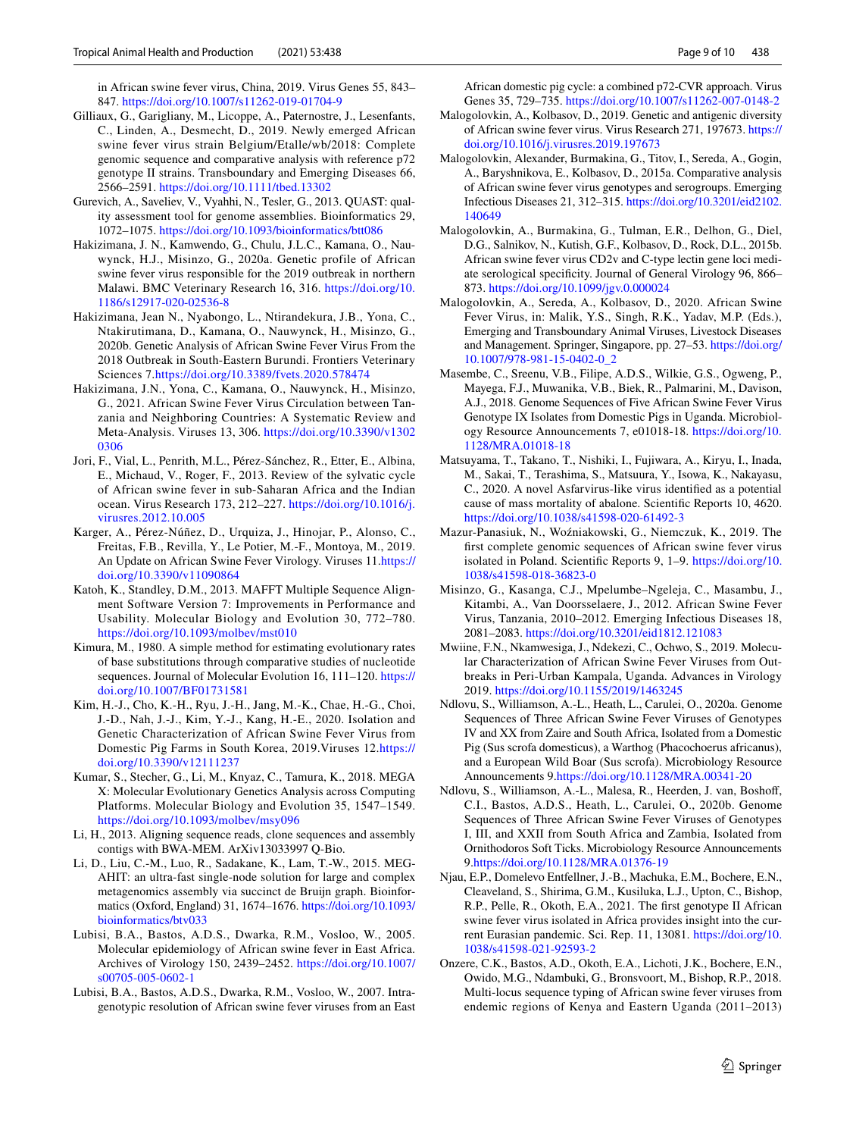in African swine fever virus, China, 2019. Virus Genes 55, 843– 847.<https://doi.org/10.1007/s11262-019-01704-9>

- <span id="page-8-6"></span>Gilliaux, G., Garigliany, M., Licoppe, A., Paternostre, J., Lesenfants, C., Linden, A., Desmecht, D., 2019. Newly emerged African swine fever virus strain Belgium/Etalle/wb/2018: Complete genomic sequence and comparative analysis with reference p72 genotype II strains. Transboundary and Emerging Diseases 66, 2566–2591. <https://doi.org/10.1111/tbed.13302>
- <span id="page-8-13"></span>Gurevich, A., Saveliev, V., Vyahhi, N., Tesler, G., 2013. QUAST: quality assessment tool for genome assemblies. Bioinformatics 29, 1072–1075. <https://doi.org/10.1093/bioinformatics/btt086>
- <span id="page-8-8"></span>Hakizimana, J. N., Kamwendo, G., Chulu, J.L.C., Kamana, O., Nauwynck, H.J., Misinzo, G., 2020a. Genetic profile of African swine fever virus responsible for the 2019 outbreak in northern Malawi. BMC Veterinary Research 16, 316. [https://doi.org/10.](https://doi.org/10.1186/s12917-020-02536-8) [1186/s12917-020-02536-8](https://doi.org/10.1186/s12917-020-02536-8)
- <span id="page-8-9"></span>Hakizimana, Jean N., Nyabongo, L., Ntirandekura, J.B., Yona, C., Ntakirutimana, D., Kamana, O., Nauwynck, H., Misinzo, G., 2020b. Genetic Analysis of African Swine Fever Virus From the 2018 Outbreak in South-Eastern Burundi. Frontiers Veterinary Sciences 7.<https://doi.org/10.3389/fvets.2020.578474>
- Hakizimana, J.N., Yona, C., Kamana, O., Nauwynck, H., Misinzo, G., 2021. African Swine Fever Virus Circulation between Tanzania and Neighboring Countries: A Systematic Review and Meta-Analysis. Viruses 13, 306. [https://doi.org/10.3390/v1302](https://doi.org/10.3390/v13020306) [0306](https://doi.org/10.3390/v13020306)
- <span id="page-8-3"></span>Jori, F., Vial, L., Penrith, M.L., Pérez-Sánchez, R., Etter, E., Albina, E., Michaud, V., Roger, F., 2013. Review of the sylvatic cycle of African swine fever in sub-Saharan Africa and the Indian ocean. Virus Research 173, 212–227. [https://doi.org/10.1016/j.](https://doi.org/10.1016/j.virusres.2012.10.005) [virusres.2012.10.005](https://doi.org/10.1016/j.virusres.2012.10.005)
- <span id="page-8-1"></span>Karger, A., Pérez-Núñez, D., Urquiza, J., Hinojar, P., Alonso, C., Freitas, F.B., Revilla, Y., Le Potier, M.-F., Montoya, M., 2019. An Update on African Swine Fever Virology. Viruses 11[.https://](https://doi.org/10.3390/v11090864) [doi.org/10.3390/v11090864](https://doi.org/10.3390/v11090864)
- <span id="page-8-14"></span>Katoh, K., Standley, D.M., 2013. MAFFT Multiple Sequence Alignment Software Version 7: Improvements in Performance and Usability. Molecular Biology and Evolution 30, 772–780. <https://doi.org/10.1093/molbev/mst010>
- <span id="page-8-15"></span>Kimura, M., 1980. A simple method for estimating evolutionary rates of base substitutions through comparative studies of nucleotide sequences. Journal of Molecular Evolution 16, 111–120. [https://](https://doi.org/10.1007/BF01731581) [doi.org/10.1007/BF01731581](https://doi.org/10.1007/BF01731581)
- Kim, H.-J., Cho, K.-H., Ryu, J.-H., Jang, M.-K., Chae, H.-G., Choi, J.-D., Nah, J.-J., Kim, Y.-J., Kang, H.-E., 2020. Isolation and Genetic Characterization of African Swine Fever Virus from Domestic Pig Farms in South Korea, 2019.Viruses 12.[https://](https://doi.org/10.3390/v12111237) [doi.org/10.3390/v12111237](https://doi.org/10.3390/v12111237)
- <span id="page-8-16"></span>Kumar, S., Stecher, G., Li, M., Knyaz, C., Tamura, K., 2018. MEGA X: Molecular Evolutionary Genetics Analysis across Computing Platforms. Molecular Biology and Evolution 35, 1547–1549. <https://doi.org/10.1093/molbev/msy096>
- <span id="page-8-12"></span>Li, H., 2013. Aligning sequence reads, clone sequences and assembly contigs with BWA-MEM. ArXiv13033997 Q-Bio.
- <span id="page-8-11"></span>Li, D., Liu, C.-M., Luo, R., Sadakane, K., Lam, T.-W., 2015. MEG-AHIT: an ultra-fast single-node solution for large and complex metagenomics assembly via succinct de Bruijn graph. Bioinformatics (Oxford, England) 31, 1674–1676. [https://doi.org/10.1093/](https://doi.org/10.1093/bioinformatics/btv033) [bioinformatics/btv033](https://doi.org/10.1093/bioinformatics/btv033)
- <span id="page-8-10"></span>Lubisi, B.A., Bastos, A.D.S., Dwarka, R.M., Vosloo, W., 2005. Molecular epidemiology of African swine fever in East Africa. Archives of Virology 150, 2439–2452. [https://doi.org/10.1007/](https://doi.org/10.1007/s00705-005-0602-1) [s00705-005-0602-1](https://doi.org/10.1007/s00705-005-0602-1)
- <span id="page-8-7"></span>Lubisi, B.A., Bastos, A.D.S., Dwarka, R.M., Vosloo, W., 2007. Intragenotypic resolution of African swine fever viruses from an East

African domestic pig cycle: a combined p72-CVR approach. Virus Genes 35, 729–735. <https://doi.org/10.1007/s11262-007-0148-2>

- <span id="page-8-24"></span>Malogolovkin, A., Kolbasov, D., 2019. Genetic and antigenic diversity of African swine fever virus. Virus Research 271, 197673. [https://](https://doi.org/10.1016/j.virusres.2019.197673) [doi.org/10.1016/j.virusres.2019.197673](https://doi.org/10.1016/j.virusres.2019.197673)
- <span id="page-8-17"></span>Malogolovkin, Alexander, Burmakina, G., Titov, I., Sereda, A., Gogin, A., Baryshnikova, E., Kolbasov, D., 2015a. Comparative analysis of African swine fever virus genotypes and serogroups. Emerging Infectious Diseases 21, 312–315. [https://doi.org/10.3201/eid2102.](https://doi.org/10.3201/eid2102.140649) [140649](https://doi.org/10.3201/eid2102.140649)
- <span id="page-8-18"></span>Malogolovkin, A., Burmakina, G., Tulman, E.R., Delhon, G., Diel, D.G., Salnikov, N., Kutish, G.F., Kolbasov, D., Rock, D.L., 2015b. African swine fever virus CD2v and C-type lectin gene loci mediate serological specifcity. Journal of General Virology 96, 866– 873.<https://doi.org/10.1099/jgv.0.000024>
- <span id="page-8-25"></span>Malogolovkin, A., Sereda, A., Kolbasov, D., 2020. African Swine Fever Virus, in: Malik, Y.S., Singh, R.K., Yadav, M.P. (Eds.), Emerging and Transboundary Animal Viruses, Livestock Diseases and Management. Springer, Singapore, pp. 27–53. [https://doi.org/](https://doi.org/10.1007/978-981-15-0402-0_2) [10.1007/978-981-15-0402-0\\_2](https://doi.org/10.1007/978-981-15-0402-0_2)
- <span id="page-8-20"></span>Masembe, C., Sreenu, V.B., Filipe, A.D.S., Wilkie, G.S., Ogweng, P., Mayega, F.J., Muwanika, V.B., Biek, R., Palmarini, M., Davison, A.J., 2018. Genome Sequences of Five African Swine Fever Virus Genotype IX Isolates from Domestic Pigs in Uganda. Microbiology Resource Announcements 7, e01018-18. [https://doi.org/10.](https://doi.org/10.1128/MRA.01018-18) [1128/MRA.01018-18](https://doi.org/10.1128/MRA.01018-18)
- <span id="page-8-0"></span>Matsuyama, T., Takano, T., Nishiki, I., Fujiwara, A., Kiryu, I., Inada, M., Sakai, T., Terashima, S., Matsuura, Y., Isowa, K., Nakayasu, C., 2020. A novel Asfarvirus-like virus identifed as a potential cause of mass mortality of abalone. Scientifc Reports 10, 4620. <https://doi.org/10.1038/s41598-020-61492-3>
- <span id="page-8-5"></span>Mazur-Panasiuk, N., Woźniakowski, G., Niemczuk, K., 2019. The frst complete genomic sequences of African swine fever virus isolated in Poland. Scientifc Reports 9, 1–9. [https://doi.org/10.](https://doi.org/10.1038/s41598-018-36823-0) [1038/s41598-018-36823-0](https://doi.org/10.1038/s41598-018-36823-0)
- <span id="page-8-23"></span>Misinzo, G., Kasanga, C.J., Mpelumbe–Ngeleja, C., Masambu, J., Kitambi, A., Van Doorsselaere, J., 2012. African Swine Fever Virus, Tanzania, 2010–2012. Emerging Infectious Diseases 18, 2081–2083.<https://doi.org/10.3201/eid1812.121083>
- <span id="page-8-4"></span>Mwiine, F.N., Nkamwesiga, J., Ndekezi, C., Ochwo, S., 2019. Molecular Characterization of African Swine Fever Viruses from Outbreaks in Peri-Urban Kampala, Uganda. Advances in Virology 2019. <https://doi.org/10.1155/2019/1463245>
- <span id="page-8-21"></span>Ndlovu, S., Williamson, A.-L., Heath, L., Carulei, O., 2020a. Genome Sequences of Three African Swine Fever Viruses of Genotypes IV and XX from Zaire and South Africa, Isolated from a Domestic Pig (Sus scrofa domesticus), a Warthog (Phacochoerus africanus), and a European Wild Boar (Sus scrofa). Microbiology Resource Announcements 9[.https://doi.org/10.1128/MRA.00341-20](https://doi.org/10.1128/MRA.00341-20)
- <span id="page-8-22"></span>Ndlovu, S., Williamson, A.-L., Malesa, R., Heerden, J. van, Boshof, C.I., Bastos, A.D.S., Heath, L., Carulei, O., 2020b. Genome Sequences of Three African Swine Fever Viruses of Genotypes I, III, and XXII from South Africa and Zambia, Isolated from Ornithodoros Soft Ticks. Microbiology Resource Announcements 9.<https://doi.org/10.1128/MRA.01376-19>
- <span id="page-8-19"></span>Njau, E.P., Domelevo Entfellner, J.-B., Machuka, E.M., Bochere, E.N., Cleaveland, S., Shirima, G.M., Kusiluka, L.J., Upton, C., Bishop, R.P., Pelle, R., Okoth, E.A., 2021. The frst genotype II African swine fever virus isolated in Africa provides insight into the current Eurasian pandemic. Sci. Rep. 11, 13081. [https://doi.org/10.](https://doi.org/10.1038/s41598-021-92593-2) [1038/s41598-021-92593-2](https://doi.org/10.1038/s41598-021-92593-2)
- <span id="page-8-2"></span>Onzere, C.K., Bastos, A.D., Okoth, E.A., Lichoti, J.K., Bochere, E.N., Owido, M.G., Ndambuki, G., Bronsvoort, M., Bishop, R.P., 2018. Multi-locus sequence typing of African swine fever viruses from endemic regions of Kenya and Eastern Uganda (2011–2013)